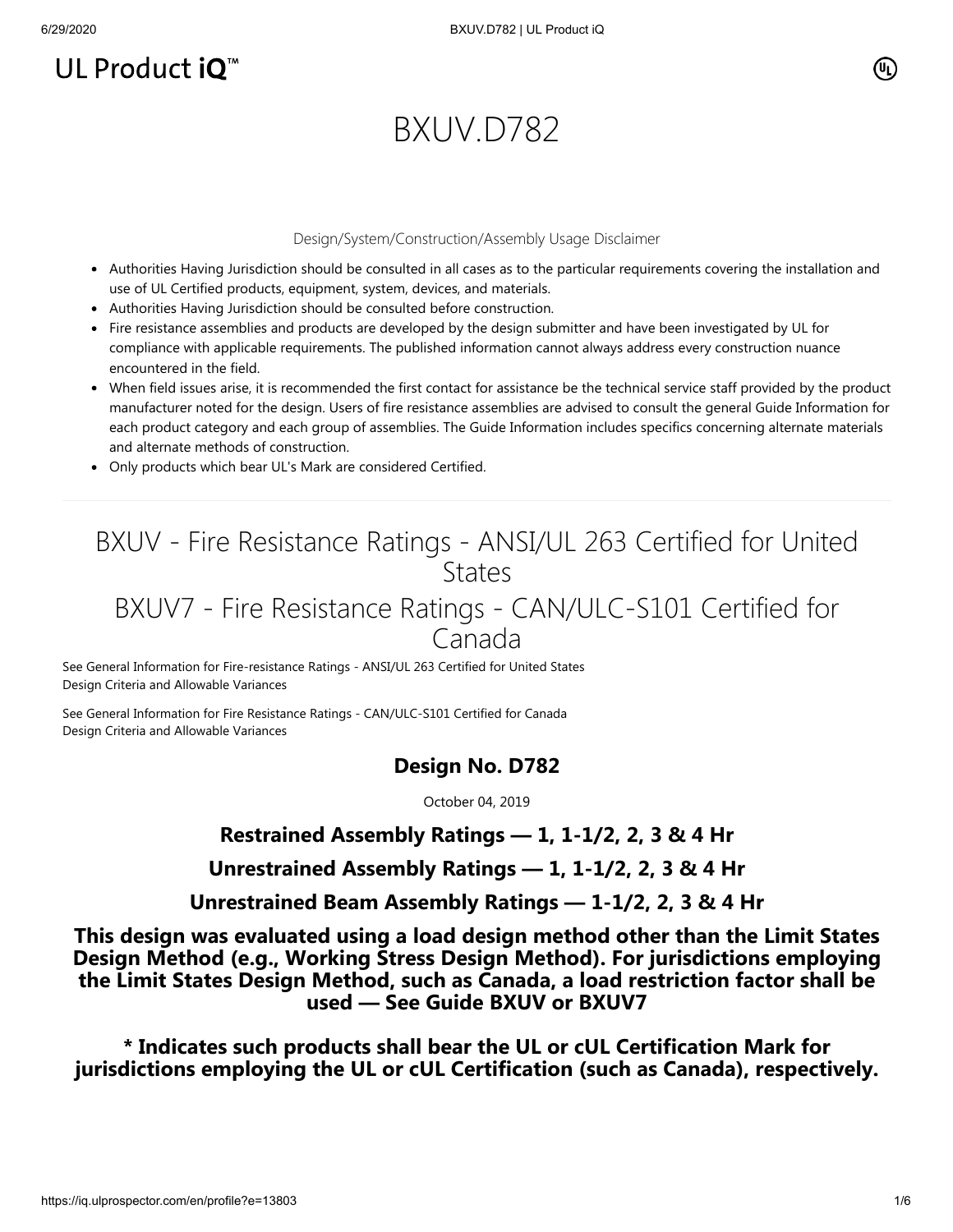# UL Product  $iQ^m$

### (Սլ՝

# BXUV.D782

#### Design/System/Construction/Assembly Usage Disclaimer

- Authorities Having Jurisdiction should be consulted in all cases as to the particular requirements covering the installation and use of UL Certified products, equipment, system, devices, and materials.
- Authorities Having Jurisdiction should be consulted before construction.
- Fire resistance assemblies and products are developed by the design submitter and have been investigated by UL for compliance with applicable requirements. The published information cannot always address every construction nuance encountered in the field.
- When field issues arise, it is recommended the first contact for assistance be the technical service staff provided by the product manufacturer noted for the design. Users of fire resistance assemblies are advised to consult the general Guide Information for each product category and each group of assemblies. The Guide Information includes specifics concerning alternate materials and alternate methods of construction.
- Only products which bear UL's Mark are considered Certified.

## BXUV - Fire Resistance Ratings - ANSI/UL 263 Certified for United **States**

### BXUV7 - Fire Resistance Ratings - CAN/ULC-S101 Certified for Canada

[See General Information for Fire-resistance Ratings - ANSI/UL 263 Certified for United States](https://iq.ulprospector.com/cgi-bin/XYV/template/LISEXT/1FRAME/showpage.html?name=BXUV.GuideInfo&ccnshorttitle=Fire-resistance+Ratings+-+ANSI/UL+263&objid=1074327030&cfgid=1073741824&version=versionless&parent_id=1073984818&sequence=1) Design Criteria and Allowable Variances

[See General Information for Fire Resistance Ratings - CAN/ULC-S101 Certified for Canada](https://iq.ulprospector.com/cgi-bin/XYV/template/LISEXT/1FRAME/showpage.html?name=BXUV7.GuideInfo&ccnshorttitle=Fire+Resistance+Ratings+-+CAN/ULC-S101+Certified+for+Canada&objid=1074205658&cfgid=1073741824&version=versionless&parent_id=1073984820&sequence=1) Design Criteria and Allowable Variances

### **Design No. D782**

October 04, 2019

**Restrained Assembly Ratings — 1, 1-1/2, 2, 3 & 4 Hr**

**Unrestrained Assembly Ratings — 1, 1-1/2, 2, 3 & 4 Hr**

**Unrestrained Beam Assembly Ratings — 1-1/2, 2, 3 & 4 Hr**

**This design was evaluated using a load design method other than the Limit States Design Method (e.g., Working Stress Design Method). For jurisdictions employing the Limit States Design Method, such as Canada, a load restriction factor shall be used — See Guide [BXUV](https://database.ul.com/cgi-bin/XYV/template/LISEXT/1FRAME/showpage.html?name=BXUV.GuideInfo&ccnshorttitle=Fire-resistance+Ratings+-+ANSI/UL+263&objid=1074327030&cfgid=1073741824&version=versionless&parent_id=1073984818&sequence=1) or [BXUV7](https://database.ul.com/cgi-bin/XYV/template/LISEXT/1FRAME/showpage.html?name=BXUV7.GuideInfo&ccnshorttitle=Fire+Resistance+Ratings+-+CAN/ULC-S101M+Certified+for+Canada&objid=1074205658&cfgid=1073741824&version=versionless&parent_id=1073984820&sequence=1)**

**\* Indicates such products shall bear the UL or cUL Certification Mark for jurisdictions employing the UL or cUL Certification (such as Canada), respectively.**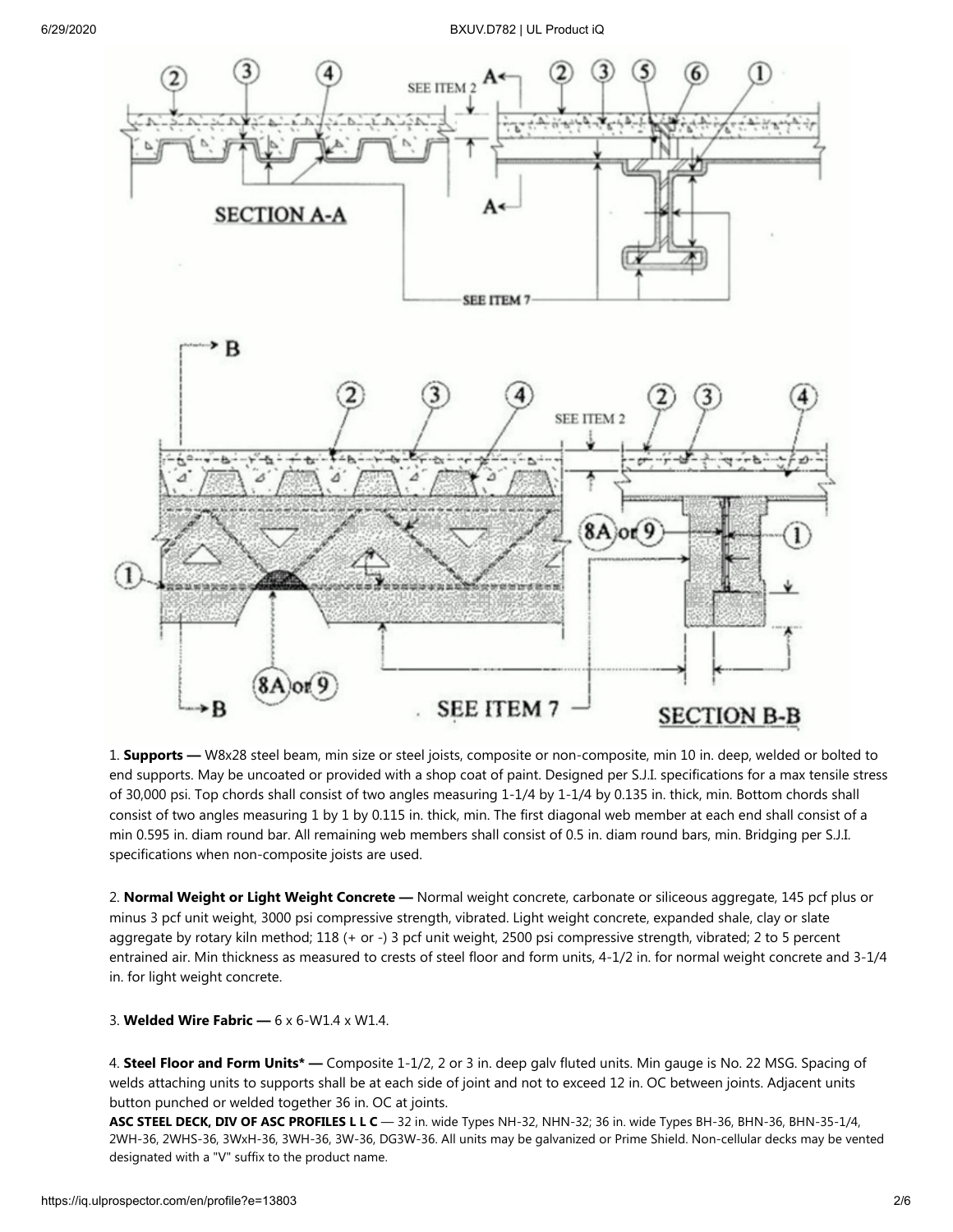6/29/2020 BXUV.D782 | UL Product iQ



1. **Supports —** W8x28 steel beam, min size or steel joists, composite or non-composite, min 10 in. deep, welded or bolted to end supports. May be uncoated or provided with a shop coat of paint. Designed per S.J.I. specifications for a max tensile stress of 30,000 psi. Top chords shall consist of two angles measuring 1-1/4 by 1-1/4 by 0.135 in. thick, min. Bottom chords shall consist of two angles measuring 1 by 1 by 0.115 in. thick, min. The first diagonal web member at each end shall consist of a min 0.595 in. diam round bar. All remaining web members shall consist of 0.5 in. diam round bars, min. Bridging per S.J.I. specifications when non-composite joists are used.

2. **Normal Weight or Light Weight Concrete —** Normal weight concrete, carbonate or siliceous aggregate, 145 pcf plus or minus 3 pcf unit weight, 3000 psi compressive strength, vibrated. Light weight concrete, expanded shale, clay or slate aggregate by rotary kiln method; 118 (+ or -) 3 pcf unit weight, 2500 psi compressive strength, vibrated; 2 to 5 percent entrained air. Min thickness as measured to crests of steel floor and form units, 4-1/2 in. for normal weight concrete and 3-1/4 in. for light weight concrete.

3. **Welded Wire Fabric —** 6 x 6-W1.4 x W1.4.

4. **Steel Floor and Form Units\* —** Composite 1-1/2, 2 or 3 in. deep galv fluted units. Min gauge is No. 22 MSG. Spacing of welds attaching units to supports shall be at each side of joint and not to exceed 12 in. OC between joints. Adjacent units button punched or welded together 36 in. OC at joints.

**ASC STEEL DECK, DIV OF ASC PROFILES L L C** — 32 in. wide Types NH-32, NHN-32; 36 in. wide Types BH-36, BHN-36, BHN-35-1/4, 2WH-36, 2WHS-36, 3WxH-36, 3WH-36, 3W-36, DG3W-36. All units may be galvanized or Prime Shield. Non-cellular decks may be vented designated with a "V" suffix to the product name.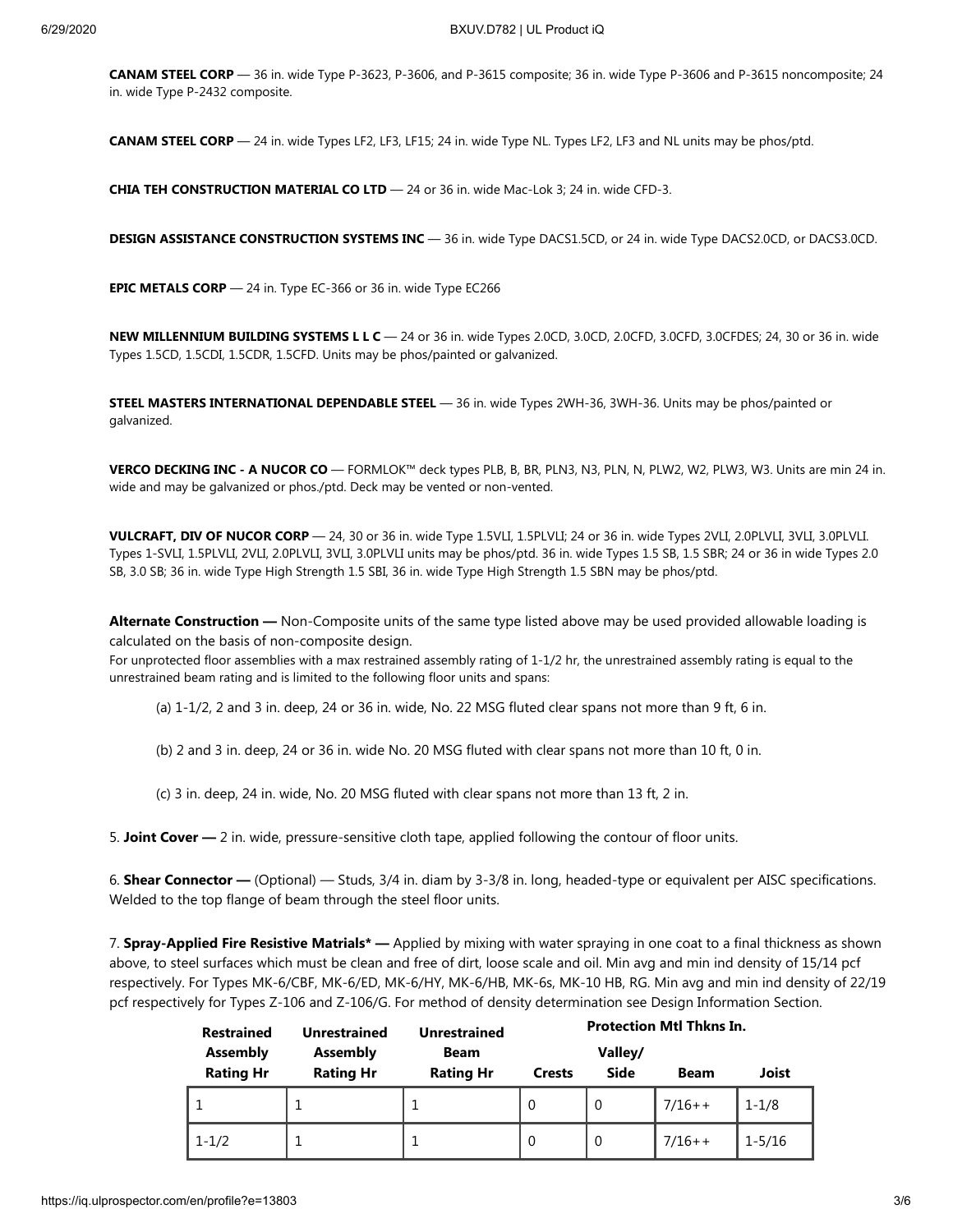**CANAM STEEL CORP** — 36 in. wide Type P-3623, P-3606, and P-3615 composite; 36 in. wide Type P-3606 and P-3615 noncomposite; 24 in. wide Type P-2432 composite.

**CANAM STEEL CORP** — 24 in. wide Types LF2, LF3, LF15; 24 in. wide Type NL. Types LF2, LF3 and NL units may be phos/ptd.

**CHIA TEH CONSTRUCTION MATERIAL CO LTD** — 24 or 36 in. wide Mac-Lok 3; 24 in. wide CFD-3.

**DESIGN ASSISTANCE CONSTRUCTION SYSTEMS INC** — 36 in. wide Type DACS1.5CD, or 24 in. wide Type DACS2.0CD, or DACS3.0CD.

**EPIC METALS CORP** — 24 in. Type EC-366 or 36 in. wide Type EC266

**NEW MILLENNIUM BUILDING SYSTEMS L L C** — 24 or 36 in. wide Types 2.0CD, 3.0CD, 2.0CFD, 3.0CFD, 3.0CFDES; 24, 30 or 36 in. wide Types 1.5CD, 1.5CDI, 1.5CDR, 1.5CFD. Units may be phos/painted or galvanized.

**STEEL MASTERS INTERNATIONAL DEPENDABLE STEEL** — 36 in. wide Types 2WH-36, 3WH-36. Units may be phos/painted or galvanized.

**VERCO DECKING INC - A NUCOR CO** — FORMLOK™ deck types PLB, B, BR, PLN3, N3, PLN, N, PLW2, W2, PLW3, W3. Units are min 24 in. wide and may be galvanized or phos./ptd. Deck may be vented or non-vented.

**VULCRAFT, DIV OF NUCOR CORP** — 24, 30 or 36 in. wide Type 1.5VLI, 1.5PLVLI; 24 or 36 in. wide Types 2VLI, 2.0PLVLI, 3VLI, 3.0PLVLI. Types 1-SVLI, 1.5PLVLI, 2VLI, 2.0PLVLI, 3VLI, 3.0PLVLI units may be phos/ptd. 36 in. wide Types 1.5 SB, 1.5 SBR; 24 or 36 in wide Types 2.0 SB, 3.0 SB; 36 in. wide Type High Strength 1.5 SBI, 36 in. wide Type High Strength 1.5 SBN may be phos/ptd.

**Alternate Construction —** Non-Composite units of the same type listed above may be used provided allowable loading is calculated on the basis of non-composite design.

For unprotected floor assemblies with a max restrained assembly rating of 1-1/2 hr, the unrestrained assembly rating is equal to the unrestrained beam rating and is limited to the following floor units and spans:

(a) 1-1/2, 2 and 3 in. deep, 24 or 36 in. wide, No. 22 MSG fluted clear spans not more than 9 ft, 6 in.

(b) 2 and 3 in. deep, 24 or 36 in. wide No. 20 MSG fluted with clear spans not more than 10 ft, 0 in.

(c) 3 in. deep, 24 in. wide, No. 20 MSG fluted with clear spans not more than 13 ft, 2 in.

5. **Joint Cover —** 2 in. wide, pressure-sensitive cloth tape, applied following the contour of floor units.

6. **Shear Connector —** (Optional) — Studs, 3/4 in. diam by 3-3/8 in. long, headed-type or equivalent per AISC specifications. Welded to the top flange of beam through the steel floor units.

7. **Spray-Applied Fire Resistive Matrials\* —** Applied by mixing with water spraying in one coat to a final thickness as shown above, to steel surfaces which must be clean and free of dirt, loose scale and oil. Min avg and min ind density of 15/14 pcf respectively. For Types MK-6/CBF, MK-6/ED, MK-6/HY, MK-6/HB, MK-6s, MK-10 HB, RG. Min avg and min ind density of 22/19 pcf respectively for Types Z-106 and Z-106/G. For method of density determination see Design Information Section.

| <b>Restrained</b><br><b>Assembly</b> | <b>Unrestrained</b><br><b>Assembly</b> | <b>Unrestrained</b><br><b>Beam</b> | <b>Protection Mtl Thkns In.</b><br>Valley/ |             |             |              |
|--------------------------------------|----------------------------------------|------------------------------------|--------------------------------------------|-------------|-------------|--------------|
| <b>Rating Hr</b>                     | <b>Rating Hr</b>                       | <b>Rating Hr</b>                   | <b>Crests</b>                              | <b>Side</b> | <b>Beam</b> | <b>Joist</b> |
|                                      |                                        |                                    | $\Omega$                                   | $\Omega$    | $7/16++$    | $1 - 1/8$    |
| $1 - 1/2$                            |                                        |                                    | $\Omega$                                   | $\Omega$    | $7/16++$    | $1 - 5/16$   |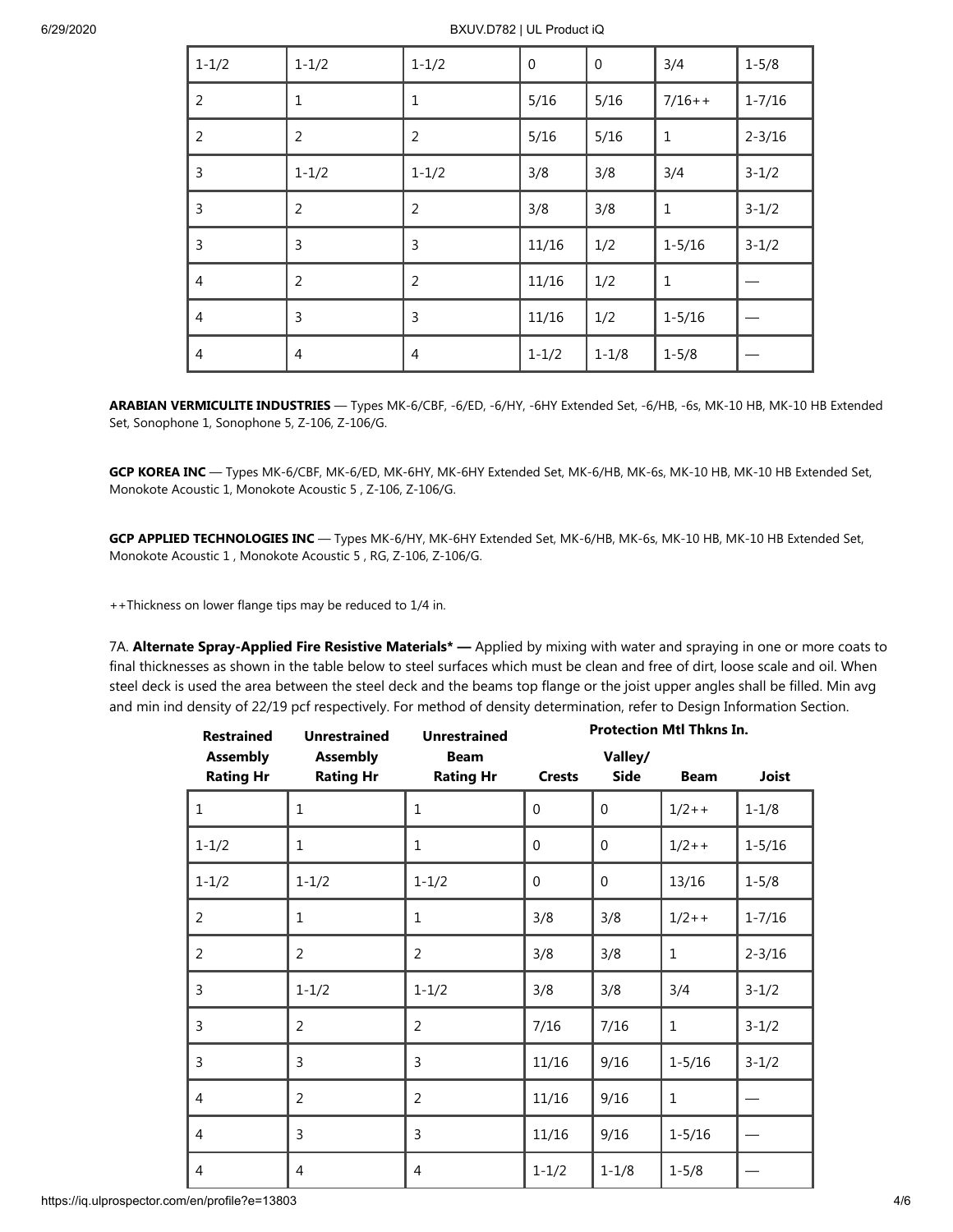6/29/2020 BXUV.D782 | UL Product iQ

| $1 - 1/2$      | $1 - 1/2$      | $1 - 1/2$      | $\mathbf 0$ | $\boldsymbol{0}$ | 3/4          | $1 - 5/8$  |
|----------------|----------------|----------------|-------------|------------------|--------------|------------|
| $\overline{2}$ | $\mathbf{1}$   | $\mathbf{1}$   | 5/16        | 5/16             | $7/16++$     | $1 - 7/16$ |
| $\overline{2}$ | $\overline{2}$ | $\overline{2}$ | 5/16        | 5/16             | $\mathbf 1$  | $2 - 3/16$ |
| $\mathsf{3}$   | $1 - 1/2$      | $1 - 1/2$      | 3/8         | 3/8              | 3/4          | $3 - 1/2$  |
| 3              | $\overline{2}$ | $\overline{2}$ | 3/8         | 3/8              | $\mathbf{1}$ | $3 - 1/2$  |
| 3              | 3              | 3              | 11/16       | 1/2              | $1 - 5/16$   | $3 - 1/2$  |
| 4              | $\overline{2}$ | $\overline{2}$ | 11/16       | 1/2              | $\mathbf{1}$ |            |
| 4              | $\mathsf{3}$   | 3              | 11/16       | 1/2              | $1 - 5/16$   |            |
| 4              | $\overline{4}$ | 4              | $1 - 1/2$   | $1 - 1/8$        | $1 - 5/8$    |            |

**ARABIAN VERMICULITE INDUSTRIES** — Types MK-6/CBF, -6/ED, -6/HY, -6HY Extended Set, -6/HB, -6s, MK-10 HB, MK-10 HB Extended Set, Sonophone 1, Sonophone 5, Z-106, Z-106/G.

**GCP KOREA INC** — Types MK-6/CBF, MK-6/ED, MK-6HY, MK-6HY Extended Set, MK-6/HB, MK-6s, MK-10 HB, MK-10 HB Extended Set, Monokote Acoustic 1, Monokote Acoustic 5 , Z-106, Z-106/G.

**GCP APPLIED TECHNOLOGIES INC** — Types MK-6/HY, MK-6HY Extended Set, MK-6/HB, MK-6s, MK-10 HB, MK-10 HB Extended Set, Monokote Acoustic 1 , Monokote Acoustic 5 , RG, Z-106, Z-106/G.

++Thickness on lower flange tips may be reduced to 1/4 in.

7A. **Alternate Spray-Applied Fire Resistive Materials\* —** Applied by mixing with water and spraying in one or more coats to final thicknesses as shown in the table below to steel surfaces which must be clean and free of dirt, loose scale and oil. When steel deck is used the area between the steel deck and the beams top flange or the joist upper angles shall be filled. Min avg and min ind density of 22/19 pcf respectively. For method of density determination, refer to Design Information Section.

| <b>Restrained</b>                   | <b>Unrestrained</b>                 | <b>Unrestrained</b>             | <b>Protection Mtl Thkns In.</b> |                 |              |              |
|-------------------------------------|-------------------------------------|---------------------------------|---------------------------------|-----------------|--------------|--------------|
| <b>Assembly</b><br><b>Rating Hr</b> | <b>Assembly</b><br><b>Rating Hr</b> | <b>Beam</b><br><b>Rating Hr</b> | <b>Crests</b>                   | Valley/<br>Side | <b>Beam</b>  | <b>Joist</b> |
| $1\,$                               | 1                                   | $\mathbf{1}$                    | $\mathbf 0$                     | $\mathbf 0$     | $1/2++$      | $1 - 1/8$    |
| $1 - 1/2$                           | $\mathbf{1}$                        | 1                               | $\mathbf 0$                     | $\mathbf 0$     | $1/2++$      | $1 - 5/16$   |
| $1 - 1/2$                           | $1 - 1/2$                           | $1 - 1/2$                       | $\mathbf 0$                     | $\mathbf 0$     | 13/16        | $1 - 5/8$    |
| $\overline{2}$                      | $\mathbf{1}$                        | $\mathbf{1}$                    | 3/8                             | 3/8             | $1/2++$      | $1 - 7/16$   |
| $\overline{2}$                      | $\overline{2}$                      | $\overline{2}$                  | 3/8                             | 3/8             | $\mathbf{1}$ | $2 - 3/16$   |
| 3                                   | $1 - 1/2$                           | $1 - 1/2$                       | 3/8                             | 3/8             | 3/4          | $3 - 1/2$    |
| 3                                   | $\overline{2}$                      | $\overline{2}$                  | 7/16                            | 7/16            | $\mathbf 1$  | $3 - 1/2$    |
| 3                                   | 3                                   | 3                               | 11/16                           | 9/16            | $1 - 5/16$   | $3 - 1/2$    |
| 4                                   | 2                                   | $\overline{2}$                  | 11/16                           | 9/16            | $\mathbf 1$  |              |
| 4                                   | 3                                   | 3                               | 11/16                           | 9/16            | $1 - 5/16$   |              |
| 4                                   | $\overline{4}$                      | $\overline{4}$                  | $1 - 1/2$                       | $1 - 1/8$       | $1 - 5/8$    |              |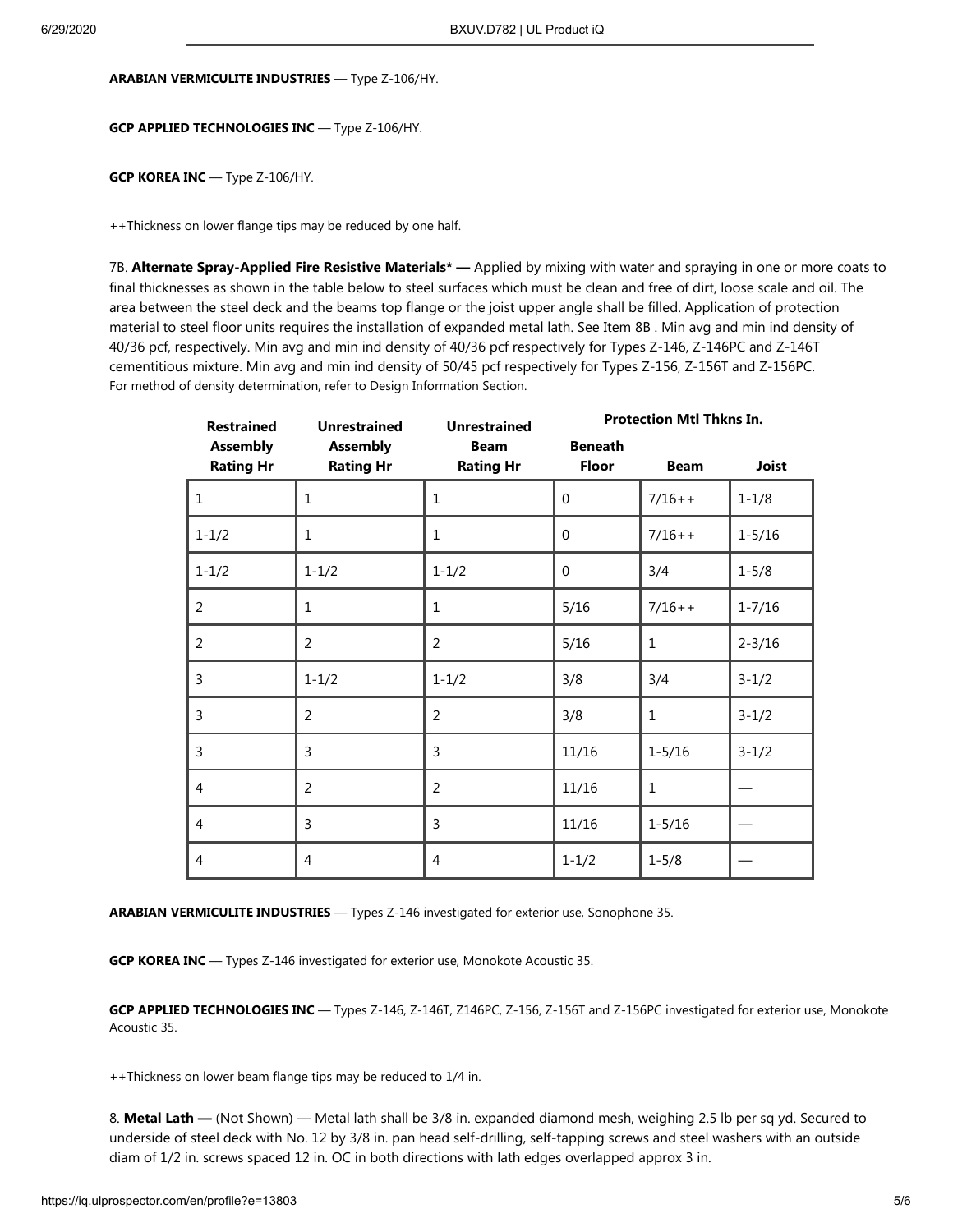#### **ARABIAN VERMICULITE INDUSTRIES** — Type Z-106/HY.

#### **GCP APPLIED TECHNOLOGIES INC** — Type Z-106/HY.

**GCP KOREA INC** — Type Z-106/HY.

++Thickness on lower flange tips may be reduced by one half.

7B. **Alternate Spray-Applied Fire Resistive Materials\* —** Applied by mixing with water and spraying in one or more coats to final thicknesses as shown in the table below to steel surfaces which must be clean and free of dirt, loose scale and oil. The area between the steel deck and the beams top flange or the joist upper angle shall be filled. Application of protection material to steel floor units requires the installation of expanded metal lath. See Item 8B . Min avg and min ind density of 40/36 pcf, respectively. Min avg and min ind density of 40/36 pcf respectively for Types Z-146, Z-146PC and Z-146T cementitious mixture. Min avg and min ind density of 50/45 pcf respectively for Types Z-156, Z-156T and Z-156PC. For method of density determination, refer to Design Information Section.

| <b>Restrained</b>                   | <b>Unrestrained</b>                 | <b>Unrestrained</b>             | <b>Protection Mtl Thkns In.</b> |              |              |  |
|-------------------------------------|-------------------------------------|---------------------------------|---------------------------------|--------------|--------------|--|
| <b>Assembly</b><br><b>Rating Hr</b> | <b>Assembly</b><br><b>Rating Hr</b> | <b>Beam</b><br><b>Rating Hr</b> | <b>Beneath</b><br><b>Floor</b>  | <b>Beam</b>  | <b>Joist</b> |  |
| $\mathbf{1}$                        | $\mathbf{1}$                        | $\mathbf{1}$                    | 0                               | $7/16++$     | $1 - 1/8$    |  |
| $1 - 1/2$                           | $\mathbf{1}$                        | 1                               | 0                               | $7/16++$     | $1 - 5/16$   |  |
| $1 - 1/2$                           | $1 - 1/2$                           | $1 - 1/2$                       | $\Omega$                        | 3/4          | $1 - 5/8$    |  |
| $\overline{2}$                      | $\mathbf{1}$                        | $\mathbf{1}$                    | 5/16                            | $7/16++$     | $1 - 7/16$   |  |
| $\overline{a}$                      | $\overline{2}$                      | 2                               | 5/16                            | $\mathbf{1}$ | $2 - 3/16$   |  |
| 3                                   | $1 - 1/2$                           | $1 - 1/2$                       | 3/8                             | 3/4          | $3 - 1/2$    |  |
| 3                                   | $\overline{2}$                      | 2                               | 3/8                             | $\mathbf{1}$ | $3 - 1/2$    |  |
| 3                                   | $\overline{3}$                      | 3                               | 11/16                           | $1 - 5/16$   | $3 - 1/2$    |  |
| $\overline{4}$                      | $\overline{2}$                      | $\overline{2}$                  | 11/16                           | $\mathbf{1}$ |              |  |
| $\overline{4}$                      | 3                                   | 3                               | 11/16                           | $1 - 5/16$   |              |  |
| 4                                   | 4                                   | 4                               | $1 - 1/2$                       | $1 - 5/8$    |              |  |

**ARABIAN VERMICULITE INDUSTRIES** — Types Z-146 investigated for exterior use, Sonophone 35.

**GCP KOREA INC** — Types Z-146 investigated for exterior use, Monokote Acoustic 35.

**GCP APPLIED TECHNOLOGIES INC** — Types Z-146, Z-146T, Z146PC, Z-156, Z-156T and Z-156PC investigated for exterior use, Monokote Acoustic 35.

++Thickness on lower beam flange tips may be reduced to 1/4 in.

8. **Metal Lath —** (Not Shown) — Metal lath shall be 3/8 in. expanded diamond mesh, weighing 2.5 lb per sq yd. Secured to underside of steel deck with No. 12 by 3/8 in. pan head self-drilling, self-tapping screws and steel washers with an outside diam of 1/2 in. screws spaced 12 in. OC in both directions with lath edges overlapped approx 3 in.